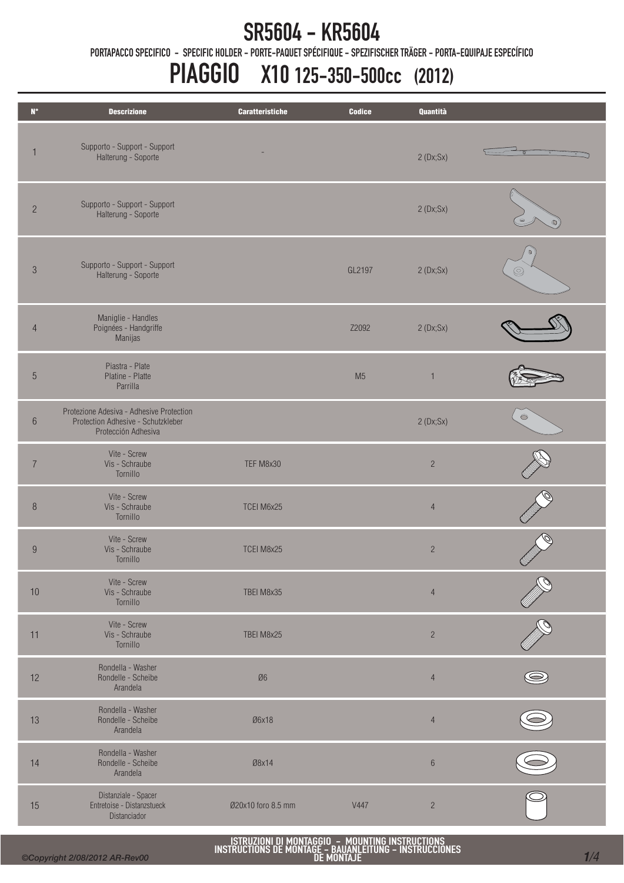PORTAPACCO SPECIFICO - SPECIFIC HOLDER - PORTE-PAQUET SPÉCIFIQUE - SPEZIFISCHER TRÄGER - PORTA-EQUIPAJE ESPECÍFICO

# PIAGGIO X10 125-350-500cc (2012)

| $N^{\circ}$      | <b>Descrizione</b>                                                                                    | <b>Caratteristiche</b> | <b>Codice</b>  | Quantità       |                |
|------------------|-------------------------------------------------------------------------------------------------------|------------------------|----------------|----------------|----------------|
| 1                | Supporto - Support - Support<br>Halterung - Soporte                                                   |                        |                | 2(Dx;Sx)       |                |
| $\overline{c}$   | Supporto - Support - Support<br>Halterung - Soporte                                                   |                        |                | 2(Dx;Sx)       |                |
| $\sqrt{3}$       | Supporto - Support - Support<br>Halterung - Soporte                                                   |                        | GL2197         | 2(Dx;Sx)       | $\circledcirc$ |
| $\overline{4}$   | Maniglie - Handles<br>Poignées - Handgriffe<br>Manijas                                                |                        | Z2092          | 2(Dx;Sx)       |                |
| $\sqrt{5}$       | Piastra - Plate<br>Platine - Platte<br>Parrilla                                                       |                        | M <sub>5</sub> | ٦              |                |
| $\,6\,$          | Protezione Adesiva - Adhesive Protection<br>Protection Adhesive - Schutzkleber<br>Protección Adhesiva |                        |                | 2(Dx;Sx)       | $\circ$        |
| $\overline{7}$   | Vite - Screw<br>Vis - Schraube<br>Tornillo                                                            | TEF M8x30              |                | $\overline{c}$ |                |
| $\, 8$           | Vite - Screw<br>Vis - Schraube<br>Tornillo                                                            | TCEI M6x25             |                | $\overline{4}$ |                |
| $\boldsymbol{9}$ | Vite - Screw<br>Vis - Schraube<br>Tornillo                                                            | TCEI M8x25             |                | $\overline{c}$ |                |
| 10               | Vite - Screw<br>Vis - Schraube<br>Tornillo                                                            | TBEI M8x35             |                | $\overline{4}$ |                |
| 11               | Vite - Screw<br>Vis - Schraube<br>Tornillo                                                            | TBEI M8x25             |                | $\overline{c}$ |                |
| 12               | Rondella - Washer<br>Rondelle - Scheibe<br>Arandela                                                   | $\emptyset 6$          |                | $\overline{4}$ |                |
| 13               | Rondella - Washer<br>Rondelle - Scheibe<br>Arandela                                                   | Ø6x18                  |                | $\overline{4}$ |                |
| 14               | Rondella - Washer<br>Rondelle - Scheibe<br>Arandela                                                   | Ø8x14                  |                | $6\,$          |                |
| 15               | Distanziale - Spacer<br>Entretoise - Distanzstueck<br>Distanciador                                    | Ø20x10 foro 8.5 mm     | V447           | $\overline{c}$ |                |

ISTRUZIONI DI MONTAGGIO - MOUNTING INSTRUCTIONS INSTRUCTIONS DE MONTAGE - BAUANLEITUNG - INSTRUCCIONES DE MONTAJE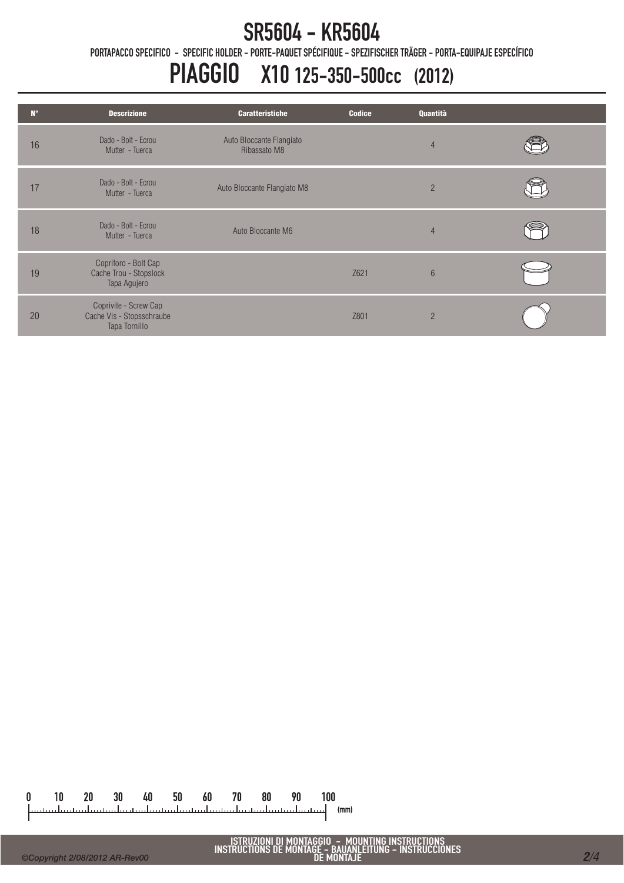PORTAPACCO SPECIFICO - SPECIFIC HOLDER - PORTE-PAQUET SPÉCIFIQUE - SPEZIFISCHER TRÄGER - PORTA-EQUIPAJE ESPECÍFICO

## PIAGGIO X10 125-350-500cc (2012)

| $N^{\circ}$ | <b>Descrizione</b>                                                  | <b>Caratteristiche</b>                   | <b>Codice</b> | Quantità       |  |
|-------------|---------------------------------------------------------------------|------------------------------------------|---------------|----------------|--|
| 16          | Dado - Bolt - Ecrou<br>Mutter - Tuerca                              | Auto Bloccante Flangiato<br>Ribassato M8 |               | $\overline{4}$ |  |
| 17          | Dado - Bolt - Ecrou<br>Mutter - Tuerca                              | Auto Bloccante Flangiato M8              |               | $\overline{2}$ |  |
| 18          | Dado - Bolt - Ecrou<br>Mutter - Tuerca                              | Auto Bloccante M6                        |               | $\overline{4}$ |  |
| 19          | Copriforo - Bolt Cap<br>Cache Trou - Stopslock<br>Tapa Agujero      |                                          | Z621          | $6\phantom{1}$ |  |
| 20          | Coprivite - Screw Cap<br>Cache Vis - Stopsschraube<br>Tapa Tornillo |                                          | Z801          | $\overline{2}$ |  |

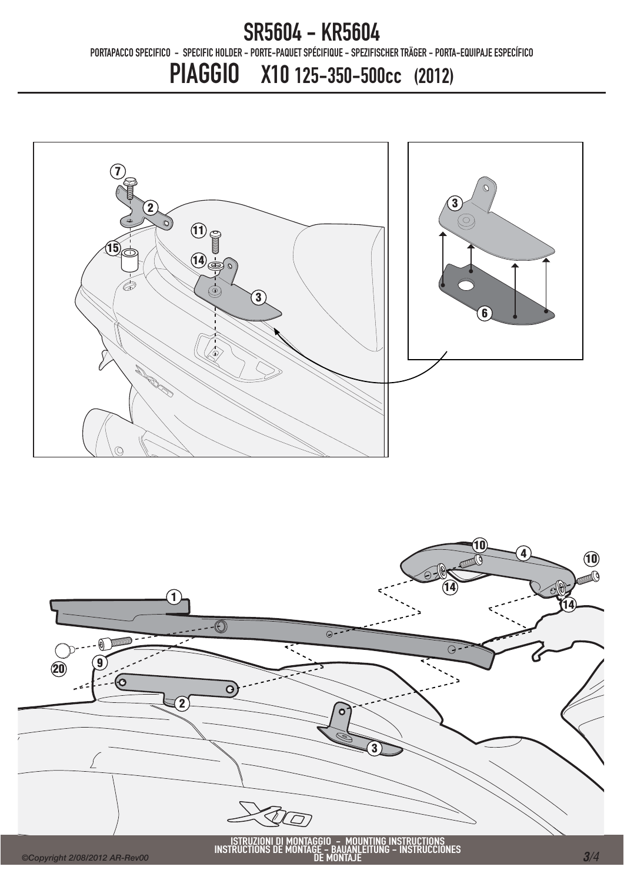PORTAPACCO SPECIFICO - SPECIFIC HOLDER - PORTE-PAQUET SPÉCIFIQUE - SPEZIFISCHER TRÄGER - PORTA-EQUIPAJE ESPECÍFICO

PIAGGIO X10 125-350-500cc (2012)